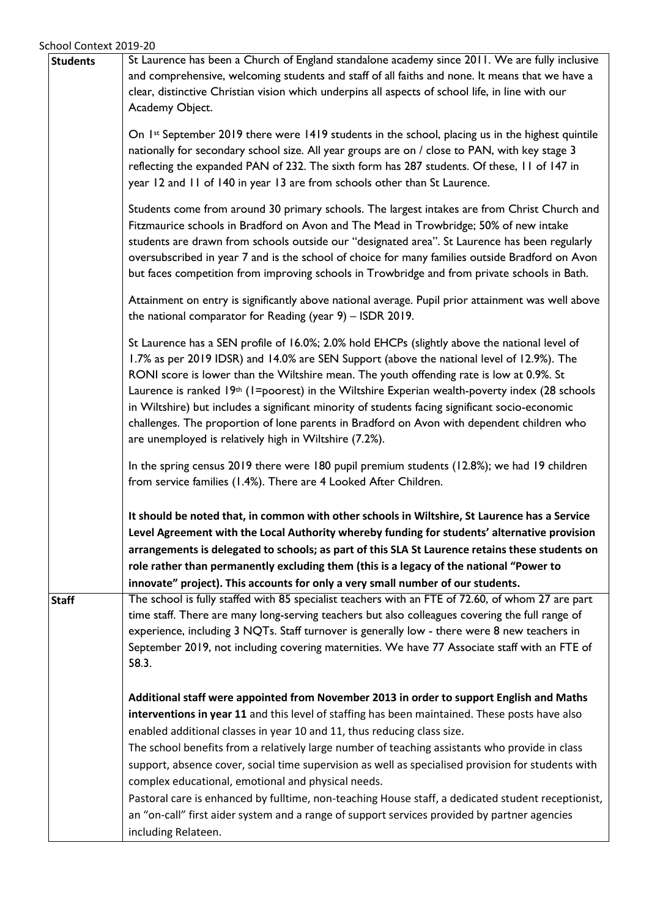| and comprehensive, welcoming students and staff of all faiths and none. It means that we have a<br>clear, distinctive Christian vision which underpins all aspects of school life, in line with our<br>Academy Object.                                                                                                                                                                                                                                                                                                                                                                                                                                                                                                                                           |
|------------------------------------------------------------------------------------------------------------------------------------------------------------------------------------------------------------------------------------------------------------------------------------------------------------------------------------------------------------------------------------------------------------------------------------------------------------------------------------------------------------------------------------------------------------------------------------------------------------------------------------------------------------------------------------------------------------------------------------------------------------------|
|                                                                                                                                                                                                                                                                                                                                                                                                                                                                                                                                                                                                                                                                                                                                                                  |
|                                                                                                                                                                                                                                                                                                                                                                                                                                                                                                                                                                                                                                                                                                                                                                  |
|                                                                                                                                                                                                                                                                                                                                                                                                                                                                                                                                                                                                                                                                                                                                                                  |
| On 1st September 2019 there were 1419 students in the school, placing us in the highest quintile<br>nationally for secondary school size. All year groups are on / close to PAN, with key stage 3<br>reflecting the expanded PAN of 232. The sixth form has 287 students. Of these, 11 of 147 in<br>year 12 and 11 of 140 in year 13 are from schools other than St Laurence.                                                                                                                                                                                                                                                                                                                                                                                    |
| Students come from around 30 primary schools. The largest intakes are from Christ Church and<br>Fitzmaurice schools in Bradford on Avon and The Mead in Trowbridge; 50% of new intake<br>students are drawn from schools outside our "designated area". St Laurence has been regularly<br>oversubscribed in year 7 and is the school of choice for many families outside Bradford on Avon<br>but faces competition from improving schools in Trowbridge and from private schools in Bath.                                                                                                                                                                                                                                                                        |
| Attainment on entry is significantly above national average. Pupil prior attainment was well above<br>the national comparator for Reading (year $9$ ) - ISDR 2019.                                                                                                                                                                                                                                                                                                                                                                                                                                                                                                                                                                                               |
| St Laurence has a SEN profile of 16.0%; 2.0% hold EHCPs (slightly above the national level of<br>1.7% as per 2019 IDSR) and 14.0% are SEN Support (above the national level of 12.9%). The<br>RONI score is lower than the Wiltshire mean. The youth offending rate is low at 0.9%. St<br>Laurence is ranked 19 <sup>th</sup> (1=poorest) in the Wiltshire Experian wealth-poverty index (28 schools<br>in Wiltshire) but includes a significant minority of students facing significant socio-economic<br>challenges. The proportion of lone parents in Bradford on Avon with dependent children who<br>are unemployed is relatively high in Wiltshire (7.2%).                                                                                                  |
| In the spring census 2019 there were 180 pupil premium students (12.8%); we had 19 children<br>from service families (1.4%). There are 4 Looked After Children.                                                                                                                                                                                                                                                                                                                                                                                                                                                                                                                                                                                                  |
| It should be noted that, in common with other schools in Wiltshire, St Laurence has a Service<br>Level Agreement with the Local Authority whereby funding for students' alternative provision<br>arrangements is delegated to schools; as part of this SLA St Laurence retains these students on<br>role rather than permanently excluding them (this is a legacy of the national "Power to<br>innovate" project). This accounts for only a very small number of our students.                                                                                                                                                                                                                                                                                   |
| The school is fully staffed with 85 specialist teachers with an FTE of 72.60, of whom 27 are part<br>time staff. There are many long-serving teachers but also colleagues covering the full range of<br>experience, including 3 NQTs. Staff turnover is generally low - there were 8 new teachers in<br>September 2019, not including covering maternities. We have 77 Associate staff with an FTE of<br>58.3.                                                                                                                                                                                                                                                                                                                                                   |
| Additional staff were appointed from November 2013 in order to support English and Maths<br>interventions in year 11 and this level of staffing has been maintained. These posts have also<br>enabled additional classes in year 10 and 11, thus reducing class size.<br>The school benefits from a relatively large number of teaching assistants who provide in class<br>support, absence cover, social time supervision as well as specialised provision for students with<br>complex educational, emotional and physical needs.<br>Pastoral care is enhanced by fulltime, non-teaching House staff, a dedicated student receptionist,<br>an "on-call" first aider system and a range of support services provided by partner agencies<br>including Relateen. |
|                                                                                                                                                                                                                                                                                                                                                                                                                                                                                                                                                                                                                                                                                                                                                                  |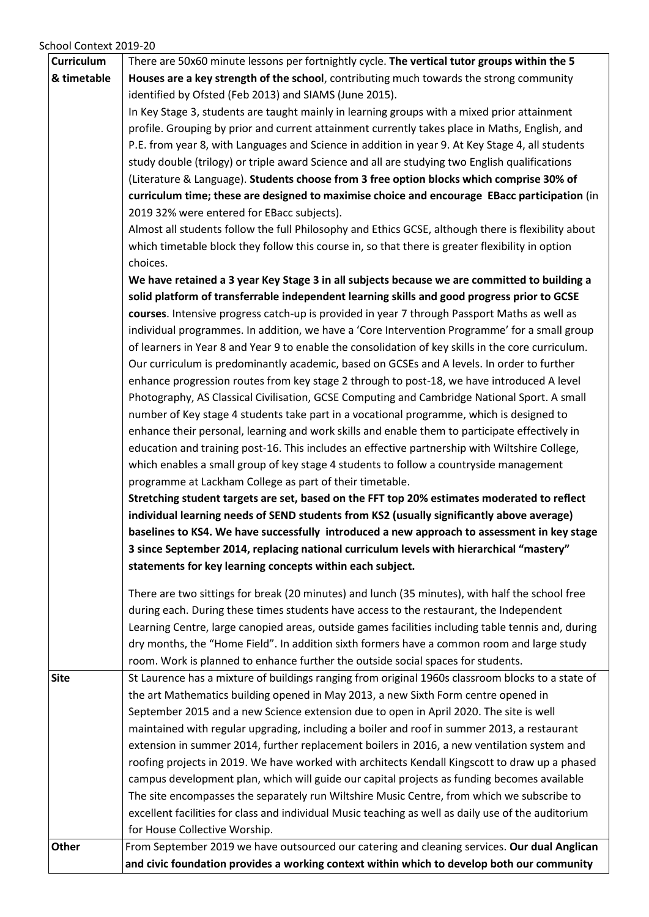School Context 2019-20

|                   | and civic foundation provides a working context within which to develop both our community                                                                                                       |
|-------------------|--------------------------------------------------------------------------------------------------------------------------------------------------------------------------------------------------|
| Other             | From September 2019 we have outsourced our catering and cleaning services. Our dual Anglican                                                                                                     |
|                   | for House Collective Worship.                                                                                                                                                                    |
|                   | excellent facilities for class and individual Music teaching as well as daily use of the auditorium                                                                                              |
|                   | The site encompasses the separately run Wiltshire Music Centre, from which we subscribe to                                                                                                       |
|                   | campus development plan, which will guide our capital projects as funding becomes available                                                                                                      |
|                   | roofing projects in 2019. We have worked with architects Kendall Kingscott to draw up a phased                                                                                                   |
|                   | extension in summer 2014, further replacement boilers in 2016, a new ventilation system and                                                                                                      |
|                   | maintained with regular upgrading, including a boiler and roof in summer 2013, a restaurant                                                                                                      |
|                   | September 2015 and a new Science extension due to open in April 2020. The site is well                                                                                                           |
|                   | the art Mathematics building opened in May 2013, a new Sixth Form centre opened in                                                                                                               |
| <b>Site</b>       | St Laurence has a mixture of buildings ranging from original 1960s classroom blocks to a state of                                                                                                |
|                   | room. Work is planned to enhance further the outside social spaces for students.                                                                                                                 |
|                   | dry months, the "Home Field". In addition sixth formers have a common room and large study                                                                                                       |
|                   | Learning Centre, large canopied areas, outside games facilities including table tennis and, during                                                                                               |
|                   | during each. During these times students have access to the restaurant, the Independent                                                                                                          |
|                   | There are two sittings for break (20 minutes) and lunch (35 minutes), with half the school free                                                                                                  |
|                   | statements for key learning concepts within each subject.                                                                                                                                        |
|                   | 3 since September 2014, replacing national curriculum levels with hierarchical "mastery"                                                                                                         |
|                   | baselines to KS4. We have successfully introduced a new approach to assessment in key stage                                                                                                      |
|                   | individual learning needs of SEND students from KS2 (usually significantly above average)                                                                                                        |
|                   | Stretching student targets are set, based on the FFT top 20% estimates moderated to reflect                                                                                                      |
|                   | programme at Lackham College as part of their timetable.                                                                                                                                         |
|                   | which enables a small group of key stage 4 students to follow a countryside management                                                                                                           |
|                   | education and training post-16. This includes an effective partnership with Wiltshire College,                                                                                                   |
|                   | enhance their personal, learning and work skills and enable them to participate effectively in                                                                                                   |
|                   | number of Key stage 4 students take part in a vocational programme, which is designed to                                                                                                         |
|                   | Photography, AS Classical Civilisation, GCSE Computing and Cambridge National Sport. A small                                                                                                     |
|                   | enhance progression routes from key stage 2 through to post-18, we have introduced A level                                                                                                       |
|                   | of learners in Year 8 and Year 9 to enable the consolidation of key skills in the core curriculum.<br>Our curriculum is predominantly academic, based on GCSEs and A levels. In order to further |
|                   | individual programmes. In addition, we have a 'Core Intervention Programme' for a small group                                                                                                    |
|                   | courses. Intensive progress catch-up is provided in year 7 through Passport Maths as well as                                                                                                     |
|                   | solid platform of transferrable independent learning skills and good progress prior to GCSE                                                                                                      |
|                   | We have retained a 3 year Key Stage 3 in all subjects because we are committed to building a                                                                                                     |
|                   | choices.                                                                                                                                                                                         |
|                   | which timetable block they follow this course in, so that there is greater flexibility in option                                                                                                 |
|                   | Almost all students follow the full Philosophy and Ethics GCSE, although there is flexibility about                                                                                              |
|                   | 2019 32% were entered for EBacc subjects).                                                                                                                                                       |
|                   | curriculum time; these are designed to maximise choice and encourage EBacc participation (in                                                                                                     |
|                   | (Literature & Language). Students choose from 3 free option blocks which comprise 30% of                                                                                                         |
|                   | study double (trilogy) or triple award Science and all are studying two English qualifications                                                                                                   |
|                   | P.E. from year 8, with Languages and Science in addition in year 9. At Key Stage 4, all students                                                                                                 |
|                   | profile. Grouping by prior and current attainment currently takes place in Maths, English, and                                                                                                   |
|                   | In Key Stage 3, students are taught mainly in learning groups with a mixed prior attainment                                                                                                      |
|                   | identified by Ofsted (Feb 2013) and SIAMS (June 2015).                                                                                                                                           |
| & timetable       | Houses are a key strength of the school, contributing much towards the strong community                                                                                                          |
| <b>Curriculum</b> | There are 50x60 minute lessons per fortnightly cycle. The vertical tutor groups within the 5                                                                                                     |